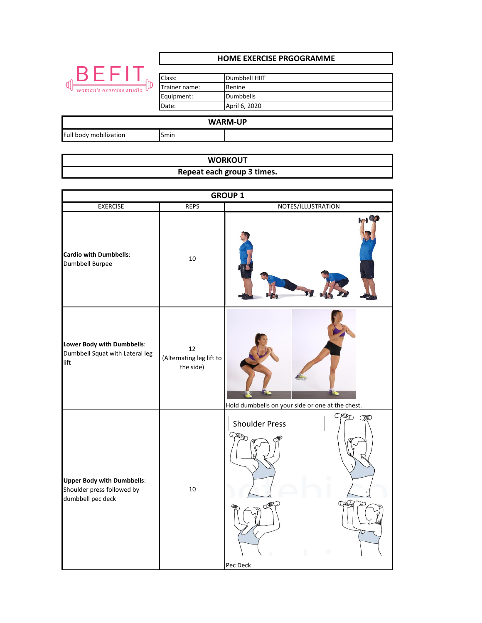|                                     | <b>HOME EXERCISE PRGOGRAMME</b> |                  |  |
|-------------------------------------|---------------------------------|------------------|--|
|                                     |                                 |                  |  |
| BEFI                                | Class:                          | Dumbbell HIIT    |  |
| <b>d</b><br>woman's exercise studio | Trainer name:                   | Benine           |  |
|                                     | Equipment:                      | <b>Dumbbells</b> |  |
|                                     | Date:                           | April 6, 2020    |  |
|                                     |                                 |                  |  |
| <b>WARM-UP</b>                      |                                 |                  |  |
| Full body mobilization              | 5 <sub>min</sub>                |                  |  |

| <b>WORKOUT</b>             |  |
|----------------------------|--|
| Repeat each group 3 times. |  |

| <b>GROUP 1</b>                                                                       |                                             |                                                                     |
|--------------------------------------------------------------------------------------|---------------------------------------------|---------------------------------------------------------------------|
| <b>EXERCISE</b>                                                                      | <b>REPS</b>                                 | NOTES/ILLUSTRATION                                                  |
| <b>Cardio with Dumbbells:</b><br>Dumbbell Burpee                                     | $10\,$                                      | H                                                                   |
| Lower Body with Dumbbells:<br>Dumbbell Squat with Lateral leg<br>lift                | 12<br>(Alternating leg lift to<br>the side) | Hold dumbbells on your side or one at the chest.                    |
| <b>Upper Body with Dumbbells:</b><br>Shoulder press followed by<br>dumbbell pec deck | $10\,$                                      | CHUDD<br>ORD<br><b>Shoulder Press</b><br>Que<br>CREATED<br>Pec Deck |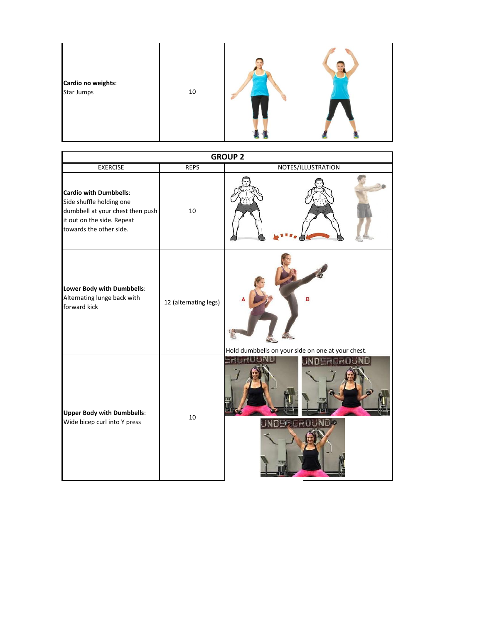| Cardio no weights:<br><b>Star Jumps</b> | 10 |  |  |
|-----------------------------------------|----|--|--|
|-----------------------------------------|----|--|--|

| <b>GROUP 2</b>                                                                                                                                         |                       |                                                   |  |  |
|--------------------------------------------------------------------------------------------------------------------------------------------------------|-----------------------|---------------------------------------------------|--|--|
| <b>EXERCISE</b>                                                                                                                                        | <b>REPS</b>           | NOTES/ILLUSTRATION                                |  |  |
| <b>Cardio with Dumbbells:</b><br>Side shuffle holding one<br>dumbbell at your chest then push<br>it out on the side. Repeat<br>towards the other side. | 10                    |                                                   |  |  |
| Lower Body with Dumbbells:<br>Alternating lunge back with<br>forward kick                                                                              | 12 (alternating legs) | Hold dumbbells on your side on one at your chest. |  |  |
| <b>Upper Body with Dumbbells:</b><br>Wide bicep curl into Y press                                                                                      | 10                    |                                                   |  |  |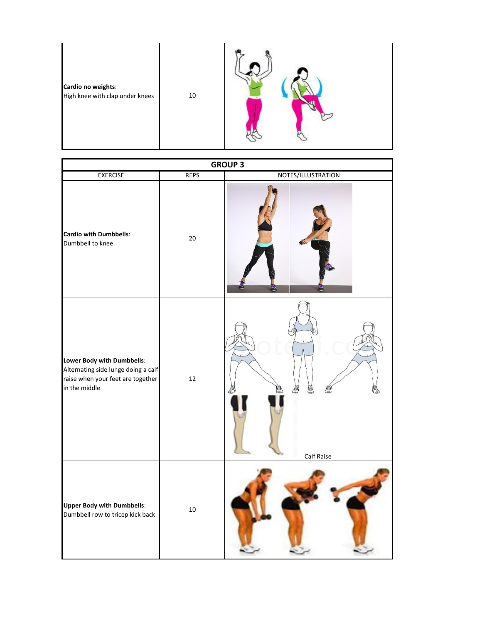| Cardio no weights:<br>High knee with clap under knees<br>10 |  |
|-------------------------------------------------------------|--|
|-------------------------------------------------------------|--|

| <b>GROUP 3</b>                                                                                                          |             |                    |  |  |
|-------------------------------------------------------------------------------------------------------------------------|-------------|--------------------|--|--|
| <b>EXERCISE</b>                                                                                                         | <b>REPS</b> | NOTES/ILLUSTRATION |  |  |
| <b>Cardio with Dumbbells:</b><br>Dumbbell to knee                                                                       | 20          |                    |  |  |
| Lower Body with Dumbbells:<br>Alternating side lunge doing a calf<br>raise when your feet are together<br>in the middle | $12\,$      | Calf Raise         |  |  |
| <b>Upper Body with Dumbbells:</b><br>Dumbbell row to tricep kick back                                                   | $10\,$      |                    |  |  |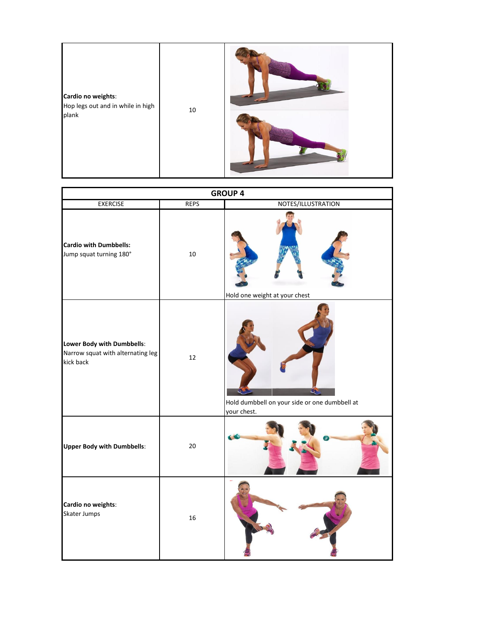

| <b>GROUP 4</b>                                                               |             |                                                              |  |  |
|------------------------------------------------------------------------------|-------------|--------------------------------------------------------------|--|--|
| <b>EXERCISE</b>                                                              | <b>REPS</b> | NOTES/ILLUSTRATION                                           |  |  |
| <b>Cardio with Dumbbells:</b><br>Jump squat turning 180°                     | $10\,$      | Hold one weight at your chest                                |  |  |
| Lower Body with Dumbbells:<br>Narrow squat with alternating leg<br>kick back | 12          | Hold dumbbell on your side or one dumbbell at<br>your chest. |  |  |
| <b>Upper Body with Dumbbells:</b>                                            | 20          |                                                              |  |  |
| Cardio no weights:<br>Skater Jumps                                           | 16          |                                                              |  |  |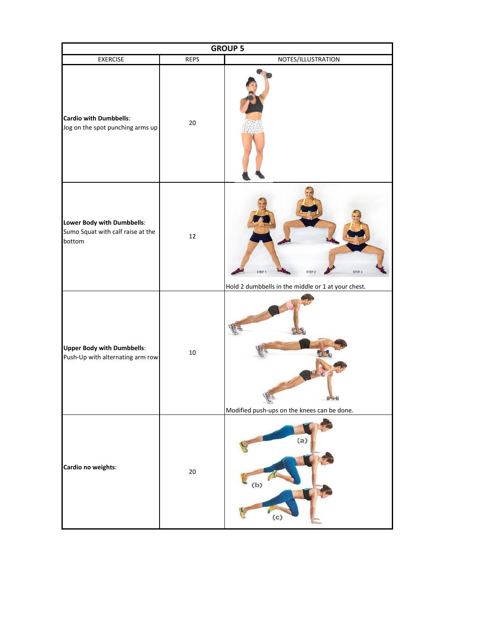| <b>GROUP 5</b>                                                            |             |                                                                                                        |  |  |
|---------------------------------------------------------------------------|-------------|--------------------------------------------------------------------------------------------------------|--|--|
| <b>EXERCISE</b>                                                           | <b>REPS</b> | NOTES/ILLUSTRATION                                                                                     |  |  |
| <b>Cardio with Dumbbells:</b><br>Jog on the spot punching arms up         | 20          |                                                                                                        |  |  |
| Lower Body with Dumbbells:<br>Sumo Squat with calf raise at the<br>bottom | 12          | STEP 3<br>STEP <sub>1</sub><br>STEP <sub>2</sub><br>Hold 2 dumbbells in the middle or 1 at your chest. |  |  |
| <b>Upper Body with Dumbbells:</b><br>Push-Up with alternating arm row     | $10\,$      | Modified push-ups on the knees can be done.                                                            |  |  |
| Cardio no weights:                                                        | 20          | (a)<br>(b)<br>$\left( c\right)$                                                                        |  |  |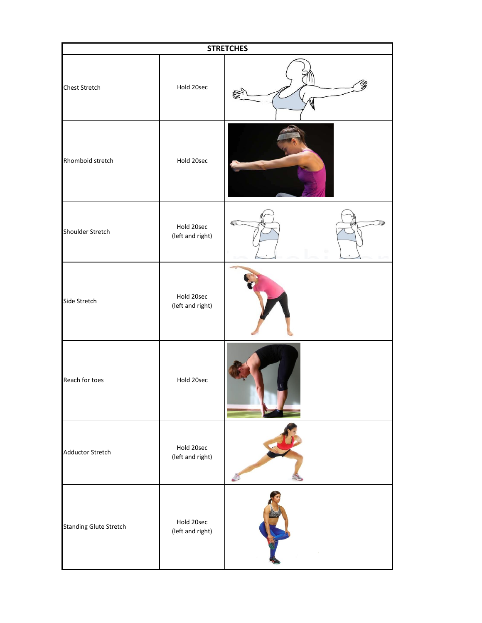| <b>STRETCHES</b>              |                                |  |  |
|-------------------------------|--------------------------------|--|--|
| Chest Stretch                 | Hold 20sec                     |  |  |
| Rhomboid stretch              | Hold 20sec                     |  |  |
| Shoulder Stretch              | Hold 20sec<br>(left and right) |  |  |
| Side Stretch                  | Hold 20sec<br>(left and right) |  |  |
| Reach for toes                | Hold 20sec                     |  |  |
| <b>Adductor Stretch</b>       | Hold 20sec<br>(left and right) |  |  |
| <b>Standing Glute Stretch</b> | Hold 20sec<br>(left and right) |  |  |